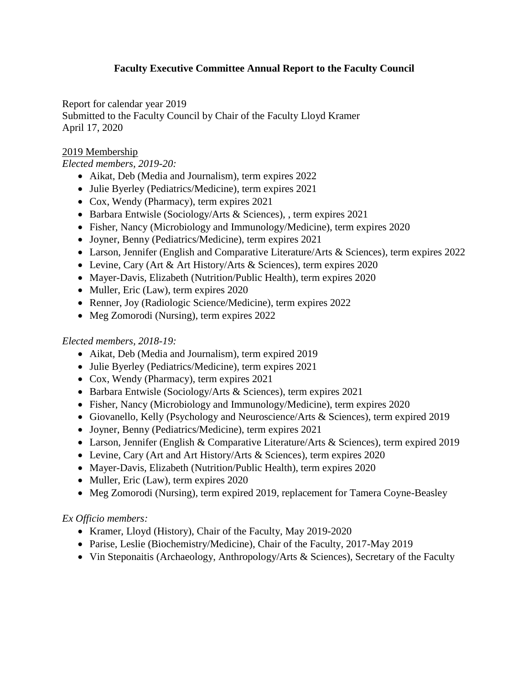# **Faculty Executive Committee Annual Report to the Faculty Council**

Report for calendar year 2019 Submitted to the Faculty Council by Chair of the Faculty Lloyd Kramer April 17, 2020

# 2019 Membership

*Elected members, 2019-20:* 

- Aikat, Deb (Media and Journalism), term expires 2022
- Julie Byerley (Pediatrics/Medicine), term expires 2021
- Cox, Wendy (Pharmacy), term expires 2021
- Barbara Entwisle (Sociology/Arts & Sciences), , term expires 2021
- Fisher, Nancy (Microbiology and Immunology/Medicine), term expires 2020
- Joyner, Benny (Pediatrics/Medicine), term expires 2021
- Larson, Jennifer (English and Comparative Literature/Arts & Sciences), term expires 2022
- Levine, Cary (Art & Art History/Arts & Sciences), term expires 2020
- Mayer-Davis, Elizabeth (Nutrition/Public Health), term expires 2020
- Muller, Eric (Law), term expires 2020
- Renner, Joy (Radiologic Science/Medicine), term expires 2022
- Meg Zomorodi (Nursing), term expires 2022

# *Elected members, 2018-19:*

- Aikat, Deb (Media and Journalism), term expired 2019
- Julie Byerley (Pediatrics/Medicine), term expires 2021
- Cox, Wendy (Pharmacy), term expires 2021
- Barbara Entwisle (Sociology/Arts & Sciences), term expires 2021
- Fisher, Nancy (Microbiology and Immunology/Medicine), term expires 2020
- Giovanello, Kelly (Psychology and Neuroscience/Arts & Sciences), term expired 2019
- Joyner, Benny (Pediatrics/Medicine), term expires 2021
- Larson, Jennifer (English & Comparative Literature/Arts & Sciences), term expired 2019
- Levine, Cary (Art and Art History/Arts & Sciences), term expires 2020
- Mayer-Davis, Elizabeth (Nutrition/Public Health), term expires 2020
- Muller, Eric (Law), term expires 2020
- Meg Zomorodi (Nursing), term expired 2019, replacement for Tamera Coyne-Beasley

# *Ex Officio members:*

- Kramer, Lloyd (History), Chair of the Faculty, May 2019-2020
- Parise, Leslie (Biochemistry/Medicine), Chair of the Faculty, 2017-May 2019
- Vin Steponaitis (Archaeology, Anthropology/Arts & Sciences), Secretary of the Faculty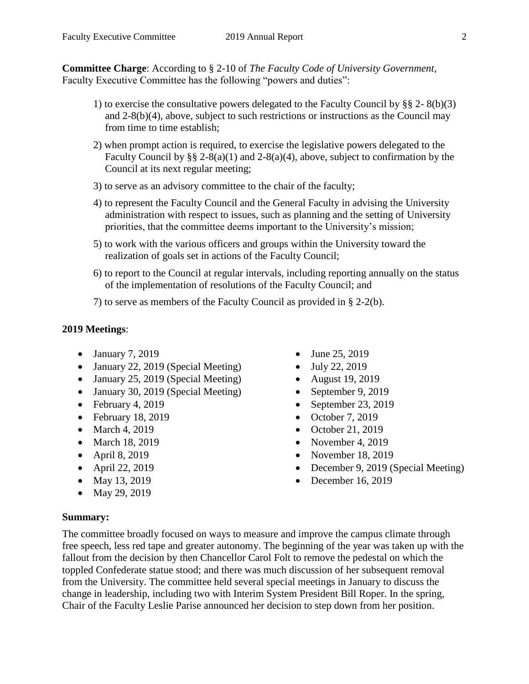**Committee Charge**: According to § 2-10 of *The Faculty Code of University Government*, Faculty Executive Committee has the following "powers and duties":

- 1) to exercise the consultative powers delegated to the Faculty Council by §§ 2- 8(b)(3) and 2-8(b)(4), above, subject to such restrictions or instructions as the Council may from time to time establish;
- 2) when prompt action is required, to exercise the legislative powers delegated to the Faculty Council by  $\S\S 2-8(a)(1)$  and  $2-8(a)(4)$ , above, subject to confirmation by the Council at its next regular meeting;
- 3) to serve as an advisory committee to the chair of the faculty;
- 4) to represent the Faculty Council and the General Faculty in advising the University administration with respect to issues, such as planning and the setting of University priorities, that the committee deems important to the University's mission;
- 5) to work with the various officers and groups within the University toward the realization of goals set in actions of the Faculty Council;
- 6) to report to the Council at regular intervals, including reporting annually on the status of the implementation of resolutions of the Faculty Council; and

7) to serve as members of the Faculty Council as provided in § 2-2(b).

#### **2019 Meetings**:

- $\bullet$  January 7, 2019
- January 22, 2019 (Special Meeting)
- January 25, 2019 (Special Meeting)
- January 30, 2019 (Special Meeting)
- $\bullet$  February 4, 2019
- $\bullet$  February 18, 2019
- March 4, 2019
- March 18, 2019
- April 8, 2019
- April 22, 2019
- May 13, 2019
- May 29, 2019
- $\bullet$  June 25, 2019
- $-$  July 22, 2019
- August 19, 2019
- $\bullet$  September 9, 2019
- $\bullet$  September 23, 2019
- $\bullet$  October 7, 2019
- $\bullet$  October 21, 2019
- November 4, 2019
- November 18, 2019
- December 9, 2019 (Special Meeting)
- $\bullet$  December 16, 2019

#### **Summary:**

The committee broadly focused on ways to measure and improve the campus climate through free speech, less red tape and greater autonomy. The beginning of the year was taken up with the fallout from the decision by then Chancellor Carol Folt to remove the pedestal on which the toppled Confederate statue stood; and there was much discussion of her subsequent removal from the University. The committee held several special meetings in January to discuss the change in leadership, including two with Interim System President Bill Roper. In the spring, Chair of the Faculty Leslie Parise announced her decision to step down from her position.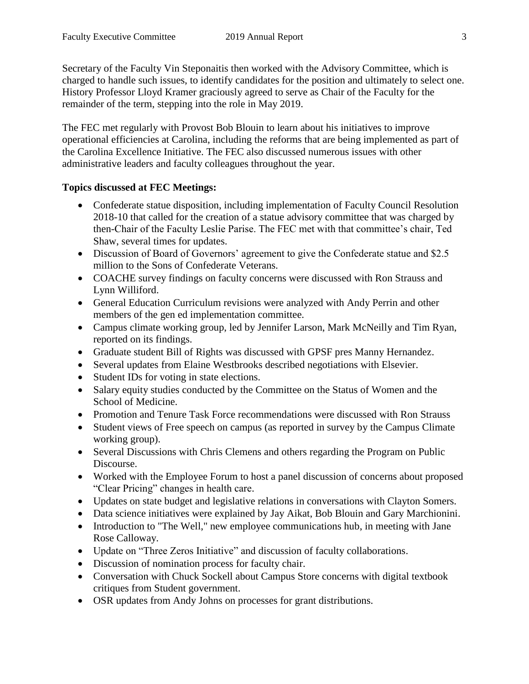Secretary of the Faculty Vin Steponaitis then worked with the Advisory Committee, which is charged to handle such issues, to identify candidates for the position and ultimately to select one. History Professor Lloyd Kramer graciously agreed to serve as Chair of the Faculty for the remainder of the term, stepping into the role in May 2019.

The FEC met regularly with Provost Bob Blouin to learn about his initiatives to improve operational efficiencies at Carolina, including the reforms that are being implemented as part of the Carolina Excellence Initiative. The FEC also discussed numerous issues with other administrative leaders and faculty colleagues throughout the year.

## **Topics discussed at FEC Meetings:**

- Confederate statue disposition, including implementation of Faculty Council Resolution 2018-10 that called for the creation of a statue advisory committee that was charged by then-Chair of the Faculty Leslie Parise. The FEC met with that committee's chair, Ted Shaw, several times for updates.
- Discussion of Board of Governors' agreement to give the Confederate statue and \$2.5 million to the Sons of Confederate Veterans.
- COACHE survey findings on faculty concerns were discussed with Ron Strauss and Lynn Williford.
- General Education Curriculum revisions were analyzed with Andy Perrin and other members of the gen ed implementation committee.
- Campus climate working group, led by Jennifer Larson, Mark McNeilly and Tim Ryan, reported on its findings.
- Graduate student Bill of Rights was discussed with GPSF pres Manny Hernandez.
- Several updates from Elaine Westbrooks described negotiations with Elsevier.
- Student IDs for voting in state elections.
- Salary equity studies conducted by the Committee on the Status of Women and the School of Medicine.
- Promotion and Tenure Task Force recommendations were discussed with Ron Strauss
- Student views of Free speech on campus (as reported in survey by the Campus Climate working group).
- Several Discussions with Chris Clemens and others regarding the Program on Public Discourse.
- Worked with the Employee Forum to host a panel discussion of concerns about proposed "Clear Pricing" changes in health care.
- Updates on state budget and legislative relations in conversations with Clayton Somers.
- Data science initiatives were explained by Jay Aikat, Bob Blouin and Gary Marchionini.
- Introduction to "The Well," new employee communications hub, in meeting with Jane Rose Calloway.
- Update on "Three Zeros Initiative" and discussion of faculty collaborations.
- Discussion of nomination process for faculty chair.
- Conversation with Chuck Sockell about Campus Store concerns with digital textbook critiques from Student government.
- OSR updates from Andy Johns on processes for grant distributions.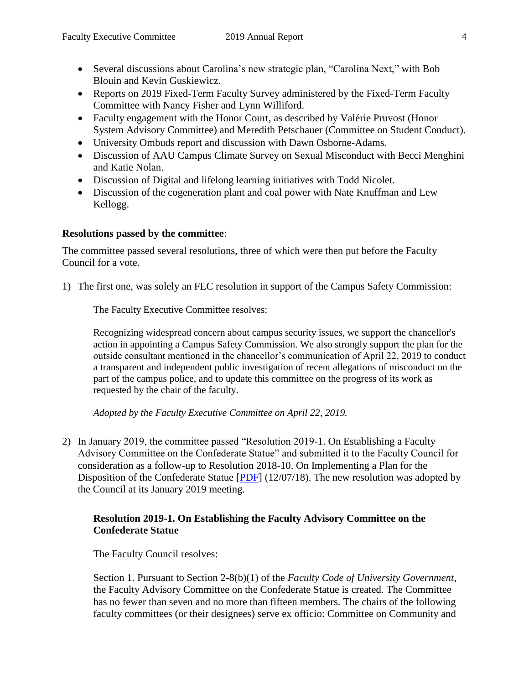- Several discussions about Carolina's new strategic plan, "Carolina Next," with Bob Blouin and Kevin Guskiewicz.
- Reports on 2019 Fixed-Term Faculty Survey administered by the Fixed-Term Faculty Committee with Nancy Fisher and Lynn Williford.
- Faculty engagement with the Honor Court, as described by Valérie Pruvost (Honor System Advisory Committee) and Meredith Petschauer (Committee on Student Conduct).
- University Ombuds report and discussion with Dawn Osborne-Adams.
- Discussion of AAU Campus Climate Survey on Sexual Misconduct with Becci Menghini and Katie Nolan.
- Discussion of Digital and lifelong learning initiatives with Todd Nicolet.
- Discussion of the cogeneration plant and coal power with Nate Knuffman and Lew Kellogg.

## **Resolutions passed by the committee**:

The committee passed several resolutions, three of which were then put before the Faculty Council for a vote.

1) The first one, was solely an FEC resolution in support of the Campus Safety Commission:

The Faculty Executive Committee resolves:

Recognizing widespread concern about campus security issues, we support the chancellor's action in appointing a Campus Safety Commission. We also strongly support the plan for the outside consultant mentioned in the chancellor's communication of April 22, 2019 to conduct a transparent and independent public investigation of recent allegations of misconduct on the part of the campus police, and to update this committee on the progress of its work as requested by the chair of the faculty.

*Adopted by the Faculty Executive Committee on April 22, 2019.*

2) In January 2019, the committee passed "Resolution 2019-1. On Establishing a Faculty Advisory Committee on the Confederate Statue" and submitted it to the Faculty Council for consideration as a follow-up to Resolution 2018-10. On Implementing a Plan for the Disposition of the Confederate Statue [\[PDF\]](https://facultygov.unc.edu/files/2018/12/Res-2018-10_as-passed-12.07.18.pdf) (12/07/18). The new resolution was adopted by the Council at its January 2019 meeting.

# **Resolution 2019-1. On Establishing the Faculty Advisory Committee on the Confederate Statue**

The Faculty Council resolves:

Section 1. Pursuant to Section 2-8(b)(1) of the *Faculty Code of University Government*, the Faculty Advisory Committee on the Confederate Statue is created. The Committee has no fewer than seven and no more than fifteen members. The chairs of the following faculty committees (or their designees) serve ex officio: Committee on Community and